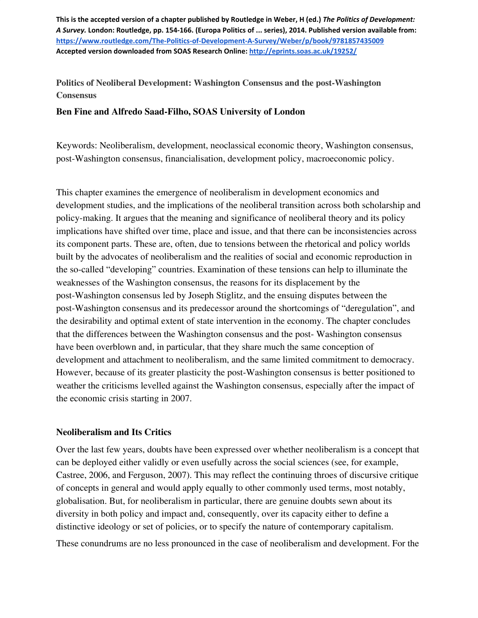# **Politics of Neoliberal Development: Washington Consensus and the post-Washington Consensus**

### **Ben Fine and Alfredo Saad-Filho, SOAS University of London**

Keywords: Neoliberalism, development, neoclassical economic theory, Washington consensus, post-Washington consensus, financialisation, development policy, macroeconomic policy.

This chapter examines the emergence of neoliberalism in development economics and development studies, and the implications of the neoliberal transition across both scholarship and policy-making. It argues that the meaning and significance of neoliberal theory and its policy implications have shifted over time, place and issue, and that there can be inconsistencies across its component parts. These are, often, due to tensions between the rhetorical and policy worlds built by the advocates of neoliberalism and the realities of social and economic reproduction in the so-called "developing" countries. Examination of these tensions can help to illuminate the weaknesses of the Washington consensus, the reasons for its displacement by the post-Washington consensus led by Joseph Stiglitz, and the ensuing disputes between the post-Washington consensus and its predecessor around the shortcomings of "deregulation", and the desirability and optimal extent of state intervention in the economy. The chapter concludes that the differences between the Washington consensus and the post- Washington consensus have been overblown and, in particular, that they share much the same conception of development and attachment to neoliberalism, and the same limited commitment to democracy. However, because of its greater plasticity the post-Washington consensus is better positioned to weather the criticisms levelled against the Washington consensus, especially after the impact of the economic crisis starting in 2007.

#### **Neoliberalism and Its Critics**

Over the last few years, doubts have been expressed over whether neoliberalism is a concept that can be deployed either validly or even usefully across the social sciences (see, for example, Castree, 2006, and Ferguson, 2007). This may reflect the continuing throes of discursive critique of concepts in general and would apply equally to other commonly used terms, most notably, globalisation. But, for neoliberalism in particular, there are genuine doubts sewn about its diversity in both policy and impact and, consequently, over its capacity either to define a distinctive ideology or set of policies, or to specify the nature of contemporary capitalism.

These conundrums are no less pronounced in the case of neoliberalism and development. For the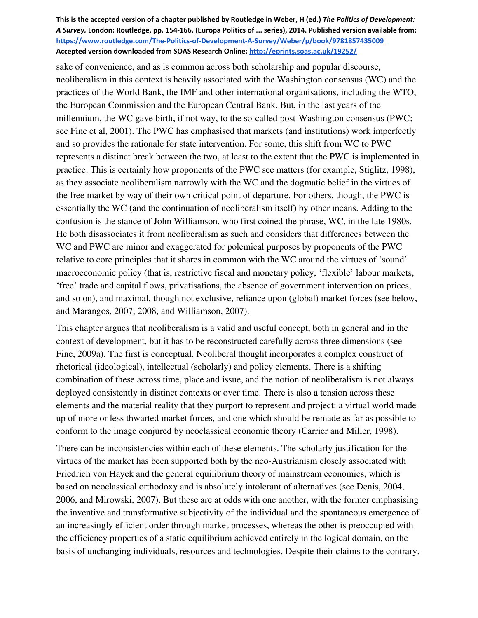sake of convenience, and as is common across both scholarship and popular discourse, neoliberalism in this context is heavily associated with the Washington consensus (WC) and the practices of the World Bank, the IMF and other international organisations, including the WTO, the European Commission and the European Central Bank. But, in the last years of the millennium, the WC gave birth, if not way, to the so-called post-Washington consensus (PWC; see Fine et al, 2001). The PWC has emphasised that markets (and institutions) work imperfectly and so provides the rationale for state intervention. For some, this shift from WC to PWC represents a distinct break between the two, at least to the extent that the PWC is implemented in practice. This is certainly how proponents of the PWC see matters (for example, Stiglitz, 1998), as they associate neoliberalism narrowly with the WC and the dogmatic belief in the virtues of the free market by way of their own critical point of departure. For others, though, the PWC is essentially the WC (and the continuation of neoliberalism itself) by other means. Adding to the confusion is the stance of John Williamson, who first coined the phrase, WC, in the late 1980s. He both disassociates it from neoliberalism as such and considers that differences between the WC and PWC are minor and exaggerated for polemical purposes by proponents of the PWC relative to core principles that it shares in common with the WC around the virtues of 'sound' macroeconomic policy (that is, restrictive fiscal and monetary policy, 'flexible' labour markets, 'free' trade and capital flows, privatisations, the absence of government intervention on prices, and so on), and maximal, though not exclusive, reliance upon (global) market forces (see below, and Marangos, 2007, 2008, and Williamson, 2007).

This chapter argues that neoliberalism is a valid and useful concept, both in general and in the context of development, but it has to be reconstructed carefully across three dimensions (see Fine, 2009a). The first is conceptual. Neoliberal thought incorporates a complex construct of rhetorical (ideological), intellectual (scholarly) and policy elements. There is a shifting combination of these across time, place and issue, and the notion of neoliberalism is not always deployed consistently in distinct contexts or over time. There is also a tension across these elements and the material reality that they purport to represent and project: a virtual world made up of more or less thwarted market forces, and one which should be remade as far as possible to conform to the image conjured by neoclassical economic theory (Carrier and Miller, 1998).

There can be inconsistencies within each of these elements. The scholarly justification for the virtues of the market has been supported both by the neo-Austrianism closely associated with Friedrich von Hayek and the general equilibrium theory of mainstream economics, which is based on neoclassical orthodoxy and is absolutely intolerant of alternatives (see Denis, 2004, 2006, and Mirowski, 2007). But these are at odds with one another, with the former emphasising the inventive and transformative subjectivity of the individual and the spontaneous emergence of an increasingly efficient order through market processes, whereas the other is preoccupied with the efficiency properties of a static equilibrium achieved entirely in the logical domain, on the basis of unchanging individuals, resources and technologies. Despite their claims to the contrary,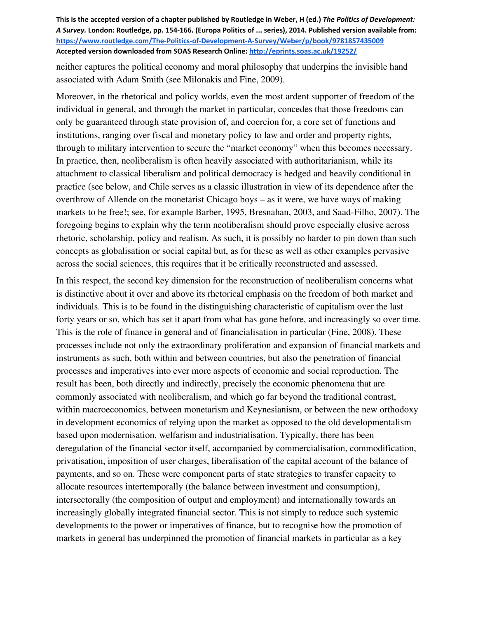neither captures the political economy and moral philosophy that underpins the invisible hand associated with Adam Smith (see Milonakis and Fine, 2009).

Moreover, in the rhetorical and policy worlds, even the most ardent supporter of freedom of the individual in general, and through the market in particular, concedes that those freedoms can only be guaranteed through state provision of, and coercion for, a core set of functions and institutions, ranging over fiscal and monetary policy to law and order and property rights, through to military intervention to secure the "market economy" when this becomes necessary. In practice, then, neoliberalism is often heavily associated with authoritarianism, while its attachment to classical liberalism and political democracy is hedged and heavily conditional in practice (see below, and Chile serves as a classic illustration in view of its dependence after the overthrow of Allende on the monetarist Chicago boys – as it were, we have ways of making markets to be free!; see, for example Barber, 1995, Bresnahan, 2003, and Saad-Filho, 2007). The foregoing begins to explain why the term neoliberalism should prove especially elusive across rhetoric, scholarship, policy and realism. As such, it is possibly no harder to pin down than such concepts as globalisation or social capital but, as for these as well as other examples pervasive across the social sciences, this requires that it be critically reconstructed and assessed.

In this respect, the second key dimension for the reconstruction of neoliberalism concerns what is distinctive about it over and above its rhetorical emphasis on the freedom of both market and individuals. This is to be found in the distinguishing characteristic of capitalism over the last forty years or so, which has set it apart from what has gone before, and increasingly so over time. This is the role of finance in general and of financialisation in particular (Fine, 2008). These processes include not only the extraordinary proliferation and expansion of financial markets and instruments as such, both within and between countries, but also the penetration of financial processes and imperatives into ever more aspects of economic and social reproduction. The result has been, both directly and indirectly, precisely the economic phenomena that are commonly associated with neoliberalism, and which go far beyond the traditional contrast, within macroeconomics, between monetarism and Keynesianism, or between the new orthodoxy in development economics of relying upon the market as opposed to the old developmentalism based upon modernisation, welfarism and industrialisation. Typically, there has been deregulation of the financial sector itself, accompanied by commercialisation, commodification, privatisation, imposition of user charges, liberalisation of the capital account of the balance of payments, and so on. These were component parts of state strategies to transfer capacity to allocate resources intertemporally (the balance between investment and consumption), intersectorally (the composition of output and employment) and internationally towards an increasingly globally integrated financial sector. This is not simply to reduce such systemic developments to the power or imperatives of finance, but to recognise how the promotion of markets in general has underpinned the promotion of financial markets in particular as a key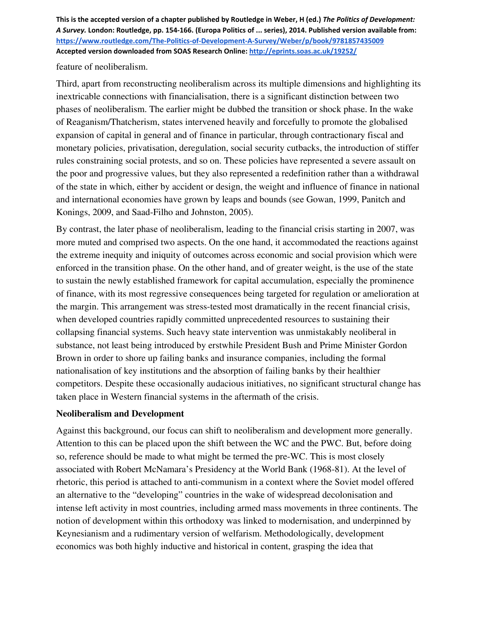feature of neoliberalism.

Third, apart from reconstructing neoliberalism across its multiple dimensions and highlighting its inextricable connections with financialisation, there is a significant distinction between two phases of neoliberalism. The earlier might be dubbed the transition or shock phase. In the wake of Reaganism/Thatcherism, states intervened heavily and forcefully to promote the globalised expansion of capital in general and of finance in particular, through contractionary fiscal and monetary policies, privatisation, deregulation, social security cutbacks, the introduction of stiffer rules constraining social protests, and so on. These policies have represented a severe assault on the poor and progressive values, but they also represented a redefinition rather than a withdrawal of the state in which, either by accident or design, the weight and influence of finance in national and international economies have grown by leaps and bounds (see Gowan, 1999, Panitch and Konings, 2009, and Saad-Filho and Johnston, 2005).

By contrast, the later phase of neoliberalism, leading to the financial crisis starting in 2007, was more muted and comprised two aspects. On the one hand, it accommodated the reactions against the extreme inequity and iniquity of outcomes across economic and social provision which were enforced in the transition phase. On the other hand, and of greater weight, is the use of the state to sustain the newly established framework for capital accumulation, especially the prominence of finance, with its most regressive consequences being targeted for regulation or amelioration at the margin. This arrangement was stress-tested most dramatically in the recent financial crisis, when developed countries rapidly committed unprecedented resources to sustaining their collapsing financial systems. Such heavy state intervention was unmistakably neoliberal in substance, not least being introduced by erstwhile President Bush and Prime Minister Gordon Brown in order to shore up failing banks and insurance companies, including the formal nationalisation of key institutions and the absorption of failing banks by their healthier competitors. Despite these occasionally audacious initiatives, no significant structural change has taken place in Western financial systems in the aftermath of the crisis.

## **Neoliberalism and Development**

Against this background, our focus can shift to neoliberalism and development more generally. Attention to this can be placed upon the shift between the WC and the PWC. But, before doing so, reference should be made to what might be termed the pre-WC. This is most closely associated with Robert McNamara's Presidency at the World Bank (1968-81). At the level of rhetoric, this period is attached to anti-communism in a context where the Soviet model offered an alternative to the "developing" countries in the wake of widespread decolonisation and intense left activity in most countries, including armed mass movements in three continents. The notion of development within this orthodoxy was linked to modernisation, and underpinned by Keynesianism and a rudimentary version of welfarism. Methodologically, development economics was both highly inductive and historical in content, grasping the idea that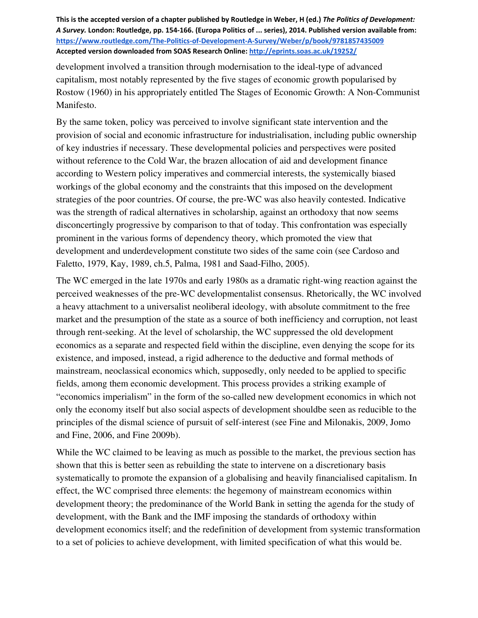development involved a transition through modernisation to the ideal-type of advanced capitalism, most notably represented by the five stages of economic growth popularised by Rostow (1960) in his appropriately entitled The Stages of Economic Growth: A Non-Communist Manifesto.

By the same token, policy was perceived to involve significant state intervention and the provision of social and economic infrastructure for industrialisation, including public ownership of key industries if necessary. These developmental policies and perspectives were posited without reference to the Cold War, the brazen allocation of aid and development finance according to Western policy imperatives and commercial interests, the systemically biased workings of the global economy and the constraints that this imposed on the development strategies of the poor countries. Of course, the pre-WC was also heavily contested. Indicative was the strength of radical alternatives in scholarship, against an orthodoxy that now seems disconcertingly progressive by comparison to that of today. This confrontation was especially prominent in the various forms of dependency theory, which promoted the view that development and underdevelopment constitute two sides of the same coin (see Cardoso and Faletto, 1979, Kay, 1989, ch.5, Palma, 1981 and Saad-Filho, 2005).

The WC emerged in the late 1970s and early 1980s as a dramatic right-wing reaction against the perceived weaknesses of the pre-WC developmentalist consensus. Rhetorically, the WC involved a heavy attachment to a universalist neoliberal ideology, with absolute commitment to the free market and the presumption of the state as a source of both inefficiency and corruption, not least through rent-seeking. At the level of scholarship, the WC suppressed the old development economics as a separate and respected field within the discipline, even denying the scope for its existence, and imposed, instead, a rigid adherence to the deductive and formal methods of mainstream, neoclassical economics which, supposedly, only needed to be applied to specific fields, among them economic development. This process provides a striking example of "economics imperialism" in the form of the so-called new development economics in which not only the economy itself but also social aspects of development shouldbe seen as reducible to the principles of the dismal science of pursuit of self-interest (see Fine and Milonakis, 2009, Jomo and Fine, 2006, and Fine 2009b).

While the WC claimed to be leaving as much as possible to the market, the previous section has shown that this is better seen as rebuilding the state to intervene on a discretionary basis systematically to promote the expansion of a globalising and heavily financialised capitalism. In effect, the WC comprised three elements: the hegemony of mainstream economics within development theory; the predominance of the World Bank in setting the agenda for the study of development, with the Bank and the IMF imposing the standards of orthodoxy within development economics itself; and the redefinition of development from systemic transformation to a set of policies to achieve development, with limited specification of what this would be.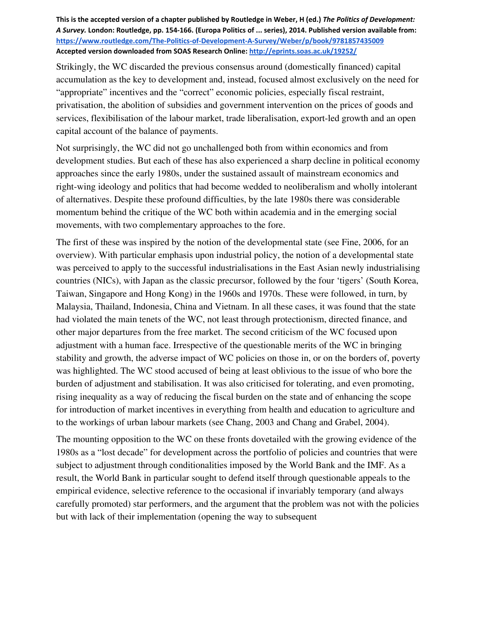Strikingly, the WC discarded the previous consensus around (domestically financed) capital accumulation as the key to development and, instead, focused almost exclusively on the need for "appropriate" incentives and the "correct" economic policies, especially fiscal restraint, privatisation, the abolition of subsidies and government intervention on the prices of goods and services, flexibilisation of the labour market, trade liberalisation, export-led growth and an open capital account of the balance of payments.

Not surprisingly, the WC did not go unchallenged both from within economics and from development studies. But each of these has also experienced a sharp decline in political economy approaches since the early 1980s, under the sustained assault of mainstream economics and right-wing ideology and politics that had become wedded to neoliberalism and wholly intolerant of alternatives. Despite these profound difficulties, by the late 1980s there was considerable momentum behind the critique of the WC both within academia and in the emerging social movements, with two complementary approaches to the fore.

The first of these was inspired by the notion of the developmental state (see Fine, 2006, for an overview). With particular emphasis upon industrial policy, the notion of a developmental state was perceived to apply to the successful industrialisations in the East Asian newly industrialising countries (NICs), with Japan as the classic precursor, followed by the four 'tigers' (South Korea, Taiwan, Singapore and Hong Kong) in the 1960s and 1970s. These were followed, in turn, by Malaysia, Thailand, Indonesia, China and Vietnam. In all these cases, it was found that the state had violated the main tenets of the WC, not least through protectionism, directed finance, and other major departures from the free market. The second criticism of the WC focused upon adjustment with a human face. Irrespective of the questionable merits of the WC in bringing stability and growth, the adverse impact of WC policies on those in, or on the borders of, poverty was highlighted. The WC stood accused of being at least oblivious to the issue of who bore the burden of adjustment and stabilisation. It was also criticised for tolerating, and even promoting, rising inequality as a way of reducing the fiscal burden on the state and of enhancing the scope for introduction of market incentives in everything from health and education to agriculture and to the workings of urban labour markets (see Chang, 2003 and Chang and Grabel, 2004).

The mounting opposition to the WC on these fronts dovetailed with the growing evidence of the 1980s as a "lost decade" for development across the portfolio of policies and countries that were subject to adjustment through conditionalities imposed by the World Bank and the IMF. As a result, the World Bank in particular sought to defend itself through questionable appeals to the empirical evidence, selective reference to the occasional if invariably temporary (and always carefully promoted) star performers, and the argument that the problem was not with the policies but with lack of their implementation (opening the way to subsequent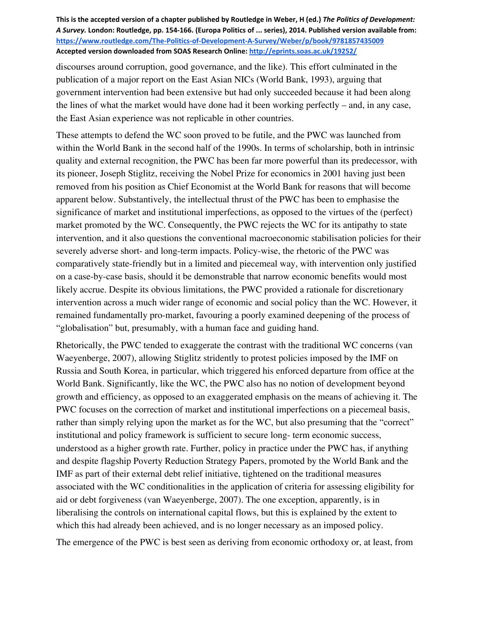discourses around corruption, good governance, and the like). This effort culminated in the publication of a major report on the East Asian NICs (World Bank, 1993), arguing that government intervention had been extensive but had only succeeded because it had been along the lines of what the market would have done had it been working perfectly – and, in any case, the East Asian experience was not replicable in other countries.

These attempts to defend the WC soon proved to be futile, and the PWC was launched from within the World Bank in the second half of the 1990s. In terms of scholarship, both in intrinsic quality and external recognition, the PWC has been far more powerful than its predecessor, with its pioneer, Joseph Stiglitz, receiving the Nobel Prize for economics in 2001 having just been removed from his position as Chief Economist at the World Bank for reasons that will become apparent below. Substantively, the intellectual thrust of the PWC has been to emphasise the significance of market and institutional imperfections, as opposed to the virtues of the (perfect) market promoted by the WC. Consequently, the PWC rejects the WC for its antipathy to state intervention, and it also questions the conventional macroeconomic stabilisation policies for their severely adverse short- and long-term impacts. Policy-wise, the rhetoric of the PWC was comparatively state-friendly but in a limited and piecemeal way, with intervention only justified on a case-by-case basis, should it be demonstrable that narrow economic benefits would most likely accrue. Despite its obvious limitations, the PWC provided a rationale for discretionary intervention across a much wider range of economic and social policy than the WC. However, it remained fundamentally pro-market, favouring a poorly examined deepening of the process of "globalisation" but, presumably, with a human face and guiding hand.

Rhetorically, the PWC tended to exaggerate the contrast with the traditional WC concerns (van Waeyenberge, 2007), allowing Stiglitz stridently to protest policies imposed by the IMF on Russia and South Korea, in particular, which triggered his enforced departure from office at the World Bank. Significantly, like the WC, the PWC also has no notion of development beyond growth and efficiency, as opposed to an exaggerated emphasis on the means of achieving it. The PWC focuses on the correction of market and institutional imperfections on a piecemeal basis, rather than simply relying upon the market as for the WC, but also presuming that the "correct" institutional and policy framework is sufficient to secure long- term economic success, understood as a higher growth rate. Further, policy in practice under the PWC has, if anything and despite flagship Poverty Reduction Strategy Papers, promoted by the World Bank and the IMF as part of their external debt relief initiative, tightened on the traditional measures associated with the WC conditionalities in the application of criteria for assessing eligibility for aid or debt forgiveness (van Waeyenberge, 2007). The one exception, apparently, is in liberalising the controls on international capital flows, but this is explained by the extent to which this had already been achieved, and is no longer necessary as an imposed policy.

The emergence of the PWC is best seen as deriving from economic orthodoxy or, at least, from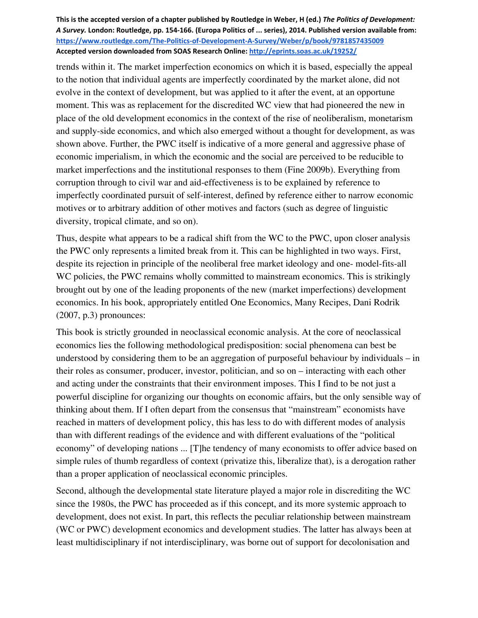trends within it. The market imperfection economics on which it is based, especially the appeal to the notion that individual agents are imperfectly coordinated by the market alone, did not evolve in the context of development, but was applied to it after the event, at an opportune moment. This was as replacement for the discredited WC view that had pioneered the new in place of the old development economics in the context of the rise of neoliberalism, monetarism and supply-side economics, and which also emerged without a thought for development, as was shown above. Further, the PWC itself is indicative of a more general and aggressive phase of economic imperialism, in which the economic and the social are perceived to be reducible to market imperfections and the institutional responses to them (Fine 2009b). Everything from corruption through to civil war and aid-effectiveness is to be explained by reference to imperfectly coordinated pursuit of self-interest, defined by reference either to narrow economic motives or to arbitrary addition of other motives and factors (such as degree of linguistic diversity, tropical climate, and so on).

Thus, despite what appears to be a radical shift from the WC to the PWC, upon closer analysis the PWC only represents a limited break from it. This can be highlighted in two ways. First, despite its rejection in principle of the neoliberal free market ideology and one- model-fits-all WC policies, the PWC remains wholly committed to mainstream economics. This is strikingly brought out by one of the leading proponents of the new (market imperfections) development economics. In his book, appropriately entitled One Economics, Many Recipes, Dani Rodrik (2007, p.3) pronounces:

This book is strictly grounded in neoclassical economic analysis. At the core of neoclassical economics lies the following methodological predisposition: social phenomena can best be understood by considering them to be an aggregation of purposeful behaviour by individuals – in their roles as consumer, producer, investor, politician, and so on – interacting with each other and acting under the constraints that their environment imposes. This I find to be not just a powerful discipline for organizing our thoughts on economic affairs, but the only sensible way of thinking about them. If I often depart from the consensus that "mainstream" economists have reached in matters of development policy, this has less to do with different modes of analysis than with different readings of the evidence and with different evaluations of the "political economy" of developing nations ... [T]he tendency of many economists to offer advice based on simple rules of thumb regardless of context (privatize this, liberalize that), is a derogation rather than a proper application of neoclassical economic principles.

Second, although the developmental state literature played a major role in discrediting the WC since the 1980s, the PWC has proceeded as if this concept, and its more systemic approach to development, does not exist. In part, this reflects the peculiar relationship between mainstream (WC or PWC) development economics and development studies. The latter has always been at least multidisciplinary if not interdisciplinary, was borne out of support for decolonisation and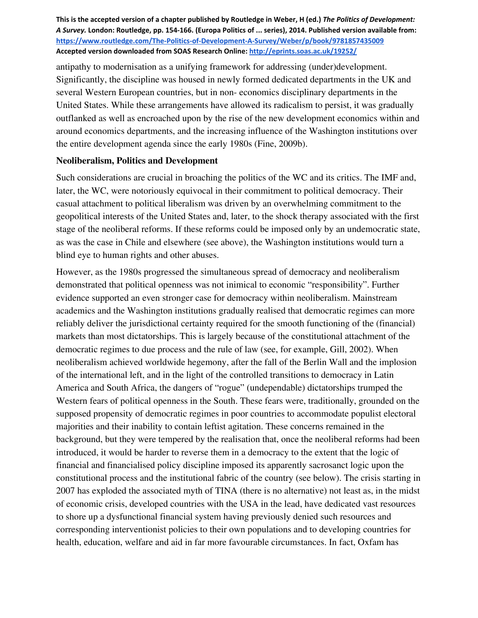antipathy to modernisation as a unifying framework for addressing (under)development. Significantly, the discipline was housed in newly formed dedicated departments in the UK and several Western European countries, but in non- economics disciplinary departments in the United States. While these arrangements have allowed its radicalism to persist, it was gradually outflanked as well as encroached upon by the rise of the new development economics within and around economics departments, and the increasing influence of the Washington institutions over the entire development agenda since the early 1980s (Fine, 2009b).

### **Neoliberalism, Politics and Development**

Such considerations are crucial in broaching the politics of the WC and its critics. The IMF and, later, the WC, were notoriously equivocal in their commitment to political democracy. Their casual attachment to political liberalism was driven by an overwhelming commitment to the geopolitical interests of the United States and, later, to the shock therapy associated with the first stage of the neoliberal reforms. If these reforms could be imposed only by an undemocratic state, as was the case in Chile and elsewhere (see above), the Washington institutions would turn a blind eye to human rights and other abuses.

However, as the 1980s progressed the simultaneous spread of democracy and neoliberalism demonstrated that political openness was not inimical to economic "responsibility". Further evidence supported an even stronger case for democracy within neoliberalism. Mainstream academics and the Washington institutions gradually realised that democratic regimes can more reliably deliver the jurisdictional certainty required for the smooth functioning of the (financial) markets than most dictatorships. This is largely because of the constitutional attachment of the democratic regimes to due process and the rule of law (see, for example, Gill, 2002). When neoliberalism achieved worldwide hegemony, after the fall of the Berlin Wall and the implosion of the international left, and in the light of the controlled transitions to democracy in Latin America and South Africa, the dangers of "rogue" (undependable) dictatorships trumped the Western fears of political openness in the South. These fears were, traditionally, grounded on the supposed propensity of democratic regimes in poor countries to accommodate populist electoral majorities and their inability to contain leftist agitation. These concerns remained in the background, but they were tempered by the realisation that, once the neoliberal reforms had been introduced, it would be harder to reverse them in a democracy to the extent that the logic of financial and financialised policy discipline imposed its apparently sacrosanct logic upon the constitutional process and the institutional fabric of the country (see below). The crisis starting in 2007 has exploded the associated myth of TINA (there is no alternative) not least as, in the midst of economic crisis, developed countries with the USA in the lead, have dedicated vast resources to shore up a dysfunctional financial system having previously denied such resources and corresponding interventionist policies to their own populations and to developing countries for health, education, welfare and aid in far more favourable circumstances. In fact, Oxfam has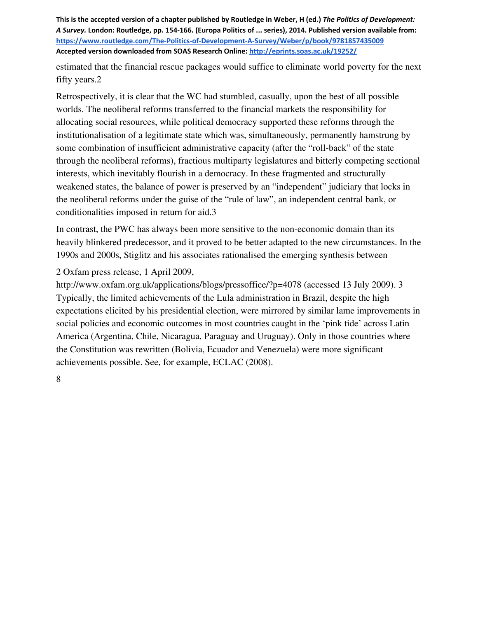estimated that the financial rescue packages would suffice to eliminate world poverty for the next fifty years.2

Retrospectively, it is clear that the WC had stumbled, casually, upon the best of all possible worlds. The neoliberal reforms transferred to the financial markets the responsibility for allocating social resources, while political democracy supported these reforms through the institutionalisation of a legitimate state which was, simultaneously, permanently hamstrung by some combination of insufficient administrative capacity (after the "roll-back" of the state through the neoliberal reforms), fractious multiparty legislatures and bitterly competing sectional interests, which inevitably flourish in a democracy. In these fragmented and structurally weakened states, the balance of power is preserved by an "independent" judiciary that locks in the neoliberal reforms under the guise of the "rule of law", an independent central bank, or conditionalities imposed in return for aid.3

In contrast, the PWC has always been more sensitive to the non-economic domain than its heavily blinkered predecessor, and it proved to be better adapted to the new circumstances. In the 1990s and 2000s, Stiglitz and his associates rationalised the emerging synthesis between

2 Oxfam press release, 1 April 2009,

http://www.oxfam.org.uk/applications/blogs/pressoffice/?p=4078 (accessed 13 July 2009). 3 Typically, the limited achievements of the Lula administration in Brazil, despite the high expectations elicited by his presidential election, were mirrored by similar lame improvements in social policies and economic outcomes in most countries caught in the 'pink tide' across Latin America (Argentina, Chile, Nicaragua, Paraguay and Uruguay). Only in those countries where the Constitution was rewritten (Bolivia, Ecuador and Venezuela) were more significant achievements possible. See, for example, ECLAC (2008).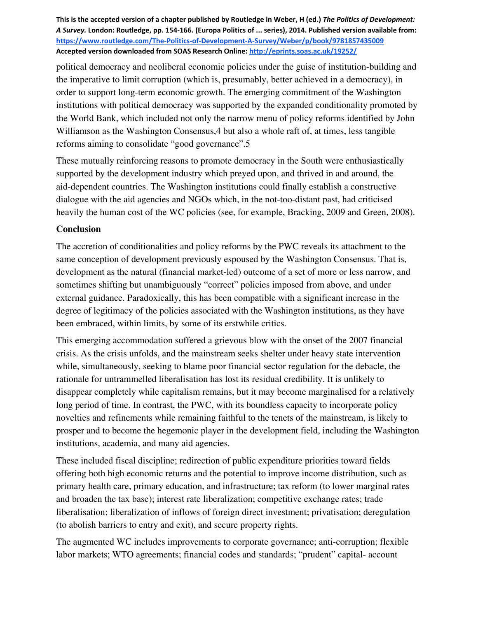political democracy and neoliberal economic policies under the guise of institution-building and the imperative to limit corruption (which is, presumably, better achieved in a democracy), in order to support long-term economic growth. The emerging commitment of the Washington institutions with political democracy was supported by the expanded conditionality promoted by the World Bank, which included not only the narrow menu of policy reforms identified by John Williamson as the Washington Consensus,4 but also a whole raft of, at times, less tangible reforms aiming to consolidate "good governance".5

These mutually reinforcing reasons to promote democracy in the South were enthusiastically supported by the development industry which preyed upon, and thrived in and around, the aid-dependent countries. The Washington institutions could finally establish a constructive dialogue with the aid agencies and NGOs which, in the not-too-distant past, had criticised heavily the human cost of the WC policies (see, for example, Bracking, 2009 and Green, 2008).

## **Conclusion**

The accretion of conditionalities and policy reforms by the PWC reveals its attachment to the same conception of development previously espoused by the Washington Consensus. That is, development as the natural (financial market-led) outcome of a set of more or less narrow, and sometimes shifting but unambiguously "correct" policies imposed from above, and under external guidance. Paradoxically, this has been compatible with a significant increase in the degree of legitimacy of the policies associated with the Washington institutions, as they have been embraced, within limits, by some of its erstwhile critics.

This emerging accommodation suffered a grievous blow with the onset of the 2007 financial crisis. As the crisis unfolds, and the mainstream seeks shelter under heavy state intervention while, simultaneously, seeking to blame poor financial sector regulation for the debacle, the rationale for untrammelled liberalisation has lost its residual credibility. It is unlikely to disappear completely while capitalism remains, but it may become marginalised for a relatively long period of time. In contrast, the PWC, with its boundless capacity to incorporate policy novelties and refinements while remaining faithful to the tenets of the mainstream, is likely to prosper and to become the hegemonic player in the development field, including the Washington institutions, academia, and many aid agencies.

These included fiscal discipline; redirection of public expenditure priorities toward fields offering both high economic returns and the potential to improve income distribution, such as primary health care, primary education, and infrastructure; tax reform (to lower marginal rates and broaden the tax base); interest rate liberalization; competitive exchange rates; trade liberalisation; liberalization of inflows of foreign direct investment; privatisation; deregulation (to abolish barriers to entry and exit), and secure property rights.

The augmented WC includes improvements to corporate governance; anti-corruption; flexible labor markets; WTO agreements; financial codes and standards; "prudent" capital- account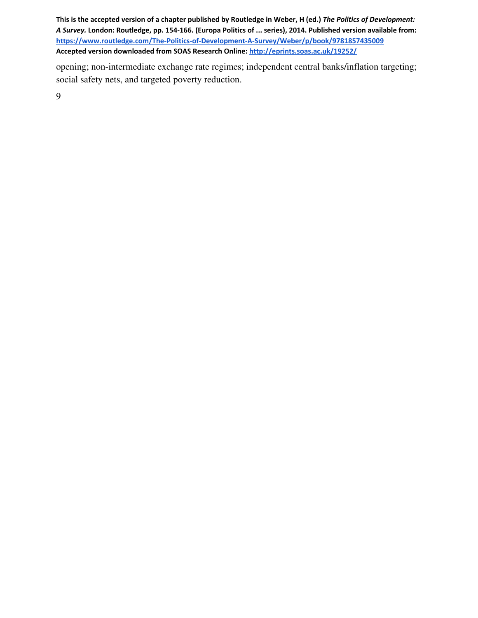opening; non-intermediate exchange rate regimes; independent central banks/inflation targeting; social safety nets, and targeted poverty reduction.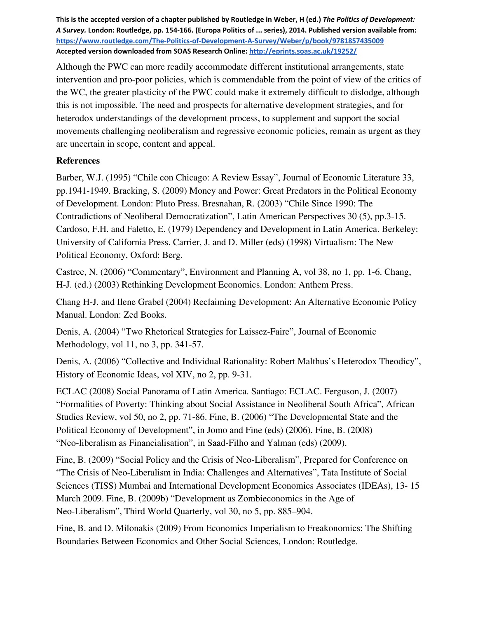Although the PWC can more readily accommodate different institutional arrangements, state intervention and pro-poor policies, which is commendable from the point of view of the critics of the WC, the greater plasticity of the PWC could make it extremely difficult to dislodge, although this is not impossible. The need and prospects for alternative development strategies, and for heterodox understandings of the development process, to supplement and support the social movements challenging neoliberalism and regressive economic policies, remain as urgent as they are uncertain in scope, content and appeal.

# **References**

Barber, W.J. (1995) "Chile con Chicago: A Review Essay", Journal of Economic Literature 33, pp.1941-1949. Bracking, S. (2009) Money and Power: Great Predators in the Political Economy of Development. London: Pluto Press. Bresnahan, R. (2003) "Chile Since 1990: The Contradictions of Neoliberal Democratization", Latin American Perspectives 30 (5), pp.3-15. Cardoso, F.H. and Faletto, E. (1979) Dependency and Development in Latin America. Berkeley: University of California Press. Carrier, J. and D. Miller (eds) (1998) Virtualism: The New Political Economy, Oxford: Berg.

Castree, N. (2006) "Commentary", Environment and Planning A, vol 38, no 1, pp. 1-6. Chang, H-J. (ed.) (2003) Rethinking Development Economics. London: Anthem Press.

Chang H-J. and Ilene Grabel (2004) Reclaiming Development: An Alternative Economic Policy Manual. London: Zed Books.

Denis, A. (2004) "Two Rhetorical Strategies for Laissez-Faire", Journal of Economic Methodology, vol 11, no 3, pp. 341-57.

Denis, A. (2006) "Collective and Individual Rationality: Robert Malthus's Heterodox Theodicy", History of Economic Ideas, vol XIV, no 2, pp. 9-31.

ECLAC (2008) Social Panorama of Latin America. Santiago: ECLAC. Ferguson, J. (2007) "Formalities of Poverty: Thinking about Social Assistance in Neoliberal South Africa", African Studies Review, vol 50, no 2, pp. 71-86. Fine, B. (2006) "The Developmental State and the Political Economy of Development", in Jomo and Fine (eds) (2006). Fine, B. (2008) "Neo-liberalism as Financialisation", in Saad-Filho and Yalman (eds) (2009).

Fine, B. (2009) "Social Policy and the Crisis of Neo-Liberalism", Prepared for Conference on "The Crisis of Neo-Liberalism in India: Challenges and Alternatives", Tata Institute of Social Sciences (TISS) Mumbai and International Development Economics Associates (IDEAs), 13- 15 March 2009. Fine, B. (2009b) "Development as Zombieconomics in the Age of Neo-Liberalism", Third World Quarterly, vol 30, no 5, pp. 885–904.

Fine, B. and D. Milonakis (2009) From Economics Imperialism to Freakonomics: The Shifting Boundaries Between Economics and Other Social Sciences, London: Routledge.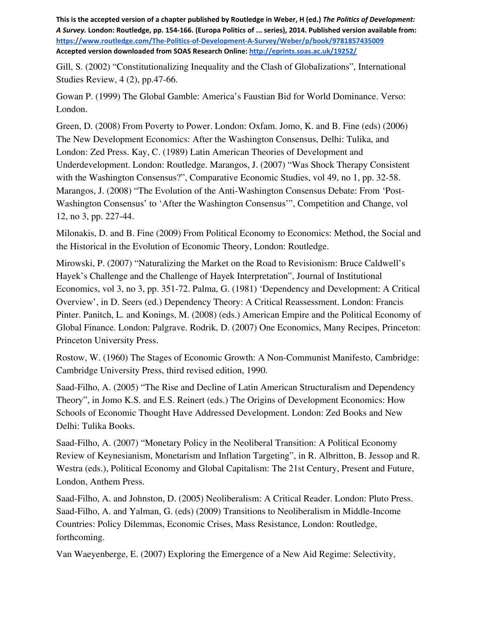Gill, S. (2002) "Constitutionalizing Inequality and the Clash of Globalizations", International Studies Review, 4 (2), pp.47-66.

Gowan P. (1999) The Global Gamble: America's Faustian Bid for World Dominance. Verso: London.

Green, D. (2008) From Poverty to Power. London: Oxfam. Jomo, K. and B. Fine (eds) (2006) The New Development Economics: After the Washington Consensus, Delhi: Tulika, and London: Zed Press. Kay, C. (1989) Latin American Theories of Development and Underdevelopment. London: Routledge. Marangos, J. (2007) "Was Shock Therapy Consistent with the Washington Consensus?", Comparative Economic Studies, vol 49, no 1, pp. 32-58. Marangos, J. (2008) "The Evolution of the Anti-Washington Consensus Debate: From 'Post-Washington Consensus' to 'After the Washington Consensus'", Competition and Change, vol 12, no 3, pp. 227-44.

Milonakis, D. and B. Fine (2009) From Political Economy to Economics: Method, the Social and the Historical in the Evolution of Economic Theory, London: Routledge.

Mirowski, P. (2007) "Naturalizing the Market on the Road to Revisionism: Bruce Caldwell's Hayek's Challenge and the Challenge of Hayek Interpretation", Journal of Institutional Economics, vol 3, no 3, pp. 351-72. Palma, G. (1981) 'Dependency and Development: A Critical Overview', in D. Seers (ed.) Dependency Theory: A Critical Reassessment. London: Francis Pinter. Panitch, L. and Konings, M. (2008) (eds.) American Empire and the Political Economy of Global Finance. London: Palgrave. Rodrik, D. (2007) One Economics, Many Recipes, Princeton: Princeton University Press.

Rostow, W. (1960) The Stages of Economic Growth: A Non-Communist Manifesto, Cambridge: Cambridge University Press, third revised edition, 1990.

Saad-Filho, A. (2005) "The Rise and Decline of Latin American Structuralism and Dependency Theory", in Jomo K.S. and E.S. Reinert (eds.) The Origins of Development Economics: How Schools of Economic Thought Have Addressed Development. London: Zed Books and New Delhi: Tulika Books.

Saad-Filho, A. (2007) "Monetary Policy in the Neoliberal Transition: A Political Economy Review of Keynesianism, Monetarism and Inflation Targeting", in R. Albritton, B. Jessop and R. Westra (eds.), Political Economy and Global Capitalism: The 21st Century, Present and Future, London, Anthem Press.

Saad-Filho, A. and Johnston, D. (2005) Neoliberalism: A Critical Reader. London: Pluto Press. Saad-Filho, A. and Yalman, G. (eds) (2009) Transitions to Neoliberalism in Middle-Income Countries: Policy Dilemmas, Economic Crises, Mass Resistance, London: Routledge, forthcoming.

Van Waeyenberge, E. (2007) Exploring the Emergence of a New Aid Regime: Selectivity,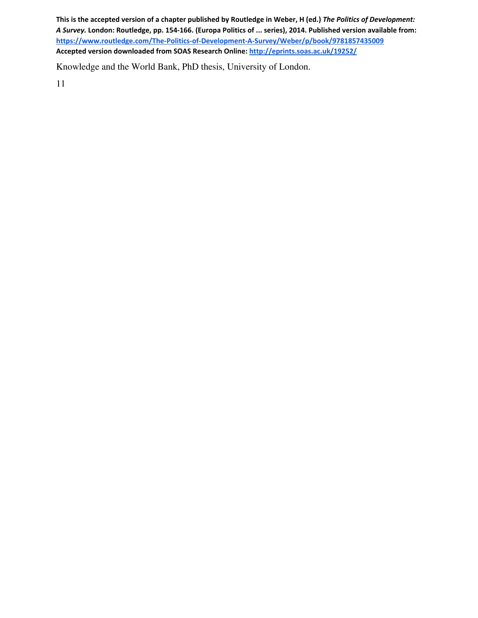Knowledge and the World Bank, PhD thesis, University of London.